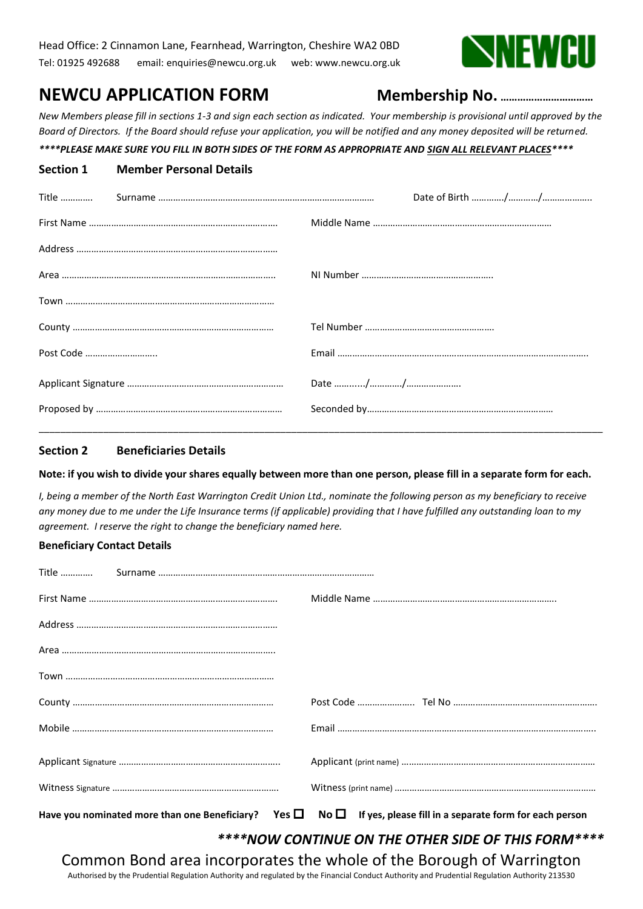

# **NEWCU APPLICATION FORM Membership No. ……………………………**

*New Members please fill in sections 1-3 and sign each section as indicated. Your membership is provisional until approved by the Board of Directors. If the Board should refuse your application, you will be notified and any money deposited will be returned.*

# *\*\*\*\*PLEASE MAKE SURE YOU FILL IN BOTH SIDES OF THE FORM AS APPROPRIATE AND SIGN ALL RELEVANT PLACES\*\*\*\**

| Section 1 | <b>Member Personal Details</b> |  |
|-----------|--------------------------------|--|
| Title     |                                |  |
|           |                                |  |
|           |                                |  |
|           |                                |  |
|           |                                |  |
|           |                                |  |
| Post Code |                                |  |
|           |                                |  |
|           |                                |  |
|           |                                |  |

### **Section 2 Beneficiaries Details**

#### **Note: if you wish to divide your shares equally between more than one person, please fill in a separate form for each.**

*I, being a member of the North East Warrington Credit Union Ltd., nominate the following person as my beneficiary to receive any money due to me under the Life Insurance terms (if applicable) providing that I have fulfilled any outstanding loan to my agreement. I reserve the right to change the beneficiary named here.*

# **Beneficiary Contact Details**

|                                                                      | Have you nominated more than one Beneficiary? Yes $\square$ No $\square$ If yes, please fill in a separate form for each person |  |  |
|----------------------------------------------------------------------|---------------------------------------------------------------------------------------------------------------------------------|--|--|
| ****NOW CONTINUE ON THE OTHER SIDE OF THIS FORM****                  |                                                                                                                                 |  |  |
| Common Bond area incorporates the whole of the Borough of Warrington |                                                                                                                                 |  |  |

Authorised by the Prudential Regulation Authority and regulated by the Financial Conduct Authority and Prudential Regulation Authority 213530